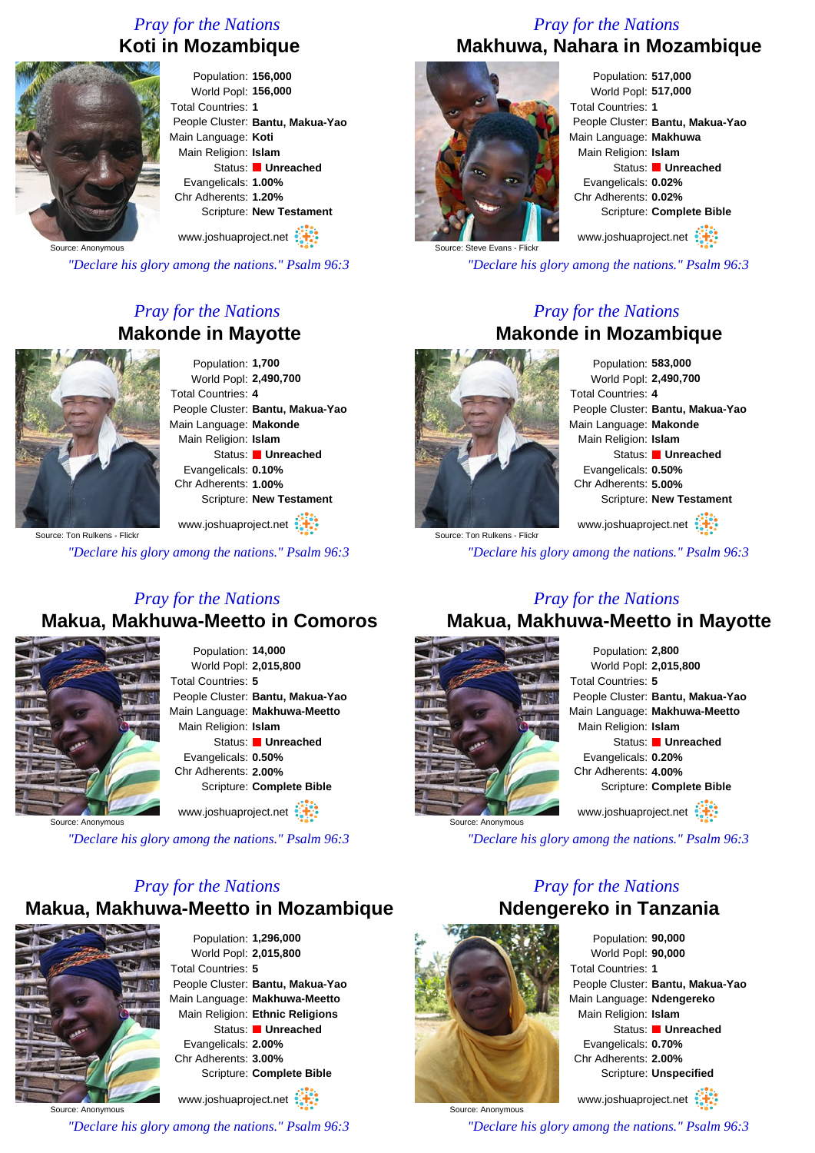### *Pray for the Nations* **Koti in Mozambique**



Population: **156,000** World Popl: **156,000** Total Countries: **1** People Cluster: **Bantu, Makua-Yao** Main Language: **Koti** Main Religion: **Islam** Status: **Unreached** Evangelicals: **1.00%** Chr Adherents: **1.20%** Scripture: **New Testament**

www.joshuaproject.net

*"Declare his glory among the nations." Psalm 96:3*

### *Pray for the Nations* **Makonde in Mayotte**



Population: **1,700** World Popl: **2,490,700** Total Countries: **4** People Cluster: **Bantu, Makua-Yao** Main Language: **Makonde** Main Religion: **Islam** Status: **Unreached** Evangelicals: **0.10%** Chr Adherents: **1.00%** Scripture: **New Testament**

Source: Ton Rulkens - Flick www.joshuaproject.net

*"Declare his glory among the nations." Psalm 96:3*

### *Pray for the Nations* **Makua, Makhuwa-Meetto in Comoros**



Population: **14,000** World Popl: **2,015,800** Total Countries: **5** People Cluster: **Bantu, Makua-Yao** Main Language: **Makhuwa-Meetto** Main Religion: **Islam** Status: **Unreached** Evangelicals: **0.50%** Chr Adherents: **2.00%** Scripture: **Complete Bible** www.joshuaproject.net

Source: Anonymous

*"Declare his glory among the nations." Psalm 96:3*

### *Pray for the Nations*

# **Makua, Makhuwa-Meetto in Mozambique**



Population: **1,296,000** World Popl: **2,015,800** Total Countries: **5** People Cluster: **Bantu, Makua-Yao** Main Language: **Makhuwa-Meetto** Main Religion: **Ethnic Religions** Status: **Unreached** Evangelicals: **2.00%** Chr Adherents: **3.00%** Scripture: **Complete Bible** www.joshuaproject.net

Source: Anonymous

*"Declare his glory among the nations." Psalm 96:3*

#### *Pray for the Nations* **Makhuwa, Nahara in Mozambique**



Population: **517,000** World Popl: **517,000** Total Countries: **1** People Cluster: **Bantu, Makua-Yao** Main Language: **Makhuwa** Main Religion: **Islam** Status: **Unreached** Evangelicals: **0.02%** Chr Adherents: **0.02%** Scripture: **Complete Bible** www.joshuaproject.net

Steve Evans - Flick

*"Declare his glory among the nations." Psalm 96:3*

### *Pray for the Nations* **Makonde in Mozambique**



Source: Ton Rulkens - Flickr

Population: **583,000** World Popl: **2,490,700** Total Countries: **4** People Cluster: **Bantu, Makua-Yao** Main Language: **Makonde** Main Religion: **Islam** Status: **Unreached** Evangelicals: **0.50%** Chr Adherents: **5.00%** Scripture: **New Testament**

www.joshuaproject.net

*"Declare his glory among the nations." Psalm 96:3*

# *Pray for the Nations*

## **Makua, Makhuwa-Meetto in Mayotte**



Population: **2,800** World Popl: **2,015,800** Total Countries: **5** People Cluster: **Bantu, Makua-Yao** Main Language: **Makhuwa-Meetto** Main Religion: **Islam** Status: **Unreached** Evangelicals: **0.20%** Chr Adherents: **4.00%** Scripture: **Complete Bible** www.joshuaproject.net

*"Declare his glory among the nations." Psalm 96:3*

### *Pray for the Nations* **Ndengereko in Tanzania**



Source: Anonymous

Source: Anonymous

Population: **90,000** World Popl: **90,000** Total Countries: **1** People Cluster: **Bantu, Makua-Yao** Main Language: **Ndengereko** Main Religion: **Islam** Status: **Unreached** Evangelicals: **0.70%** Chr Adherents: **2.00%** Scripture: **Unspecified**

www.joshuaproject.net

*"Declare his glory among the nations." Psalm 96:3*